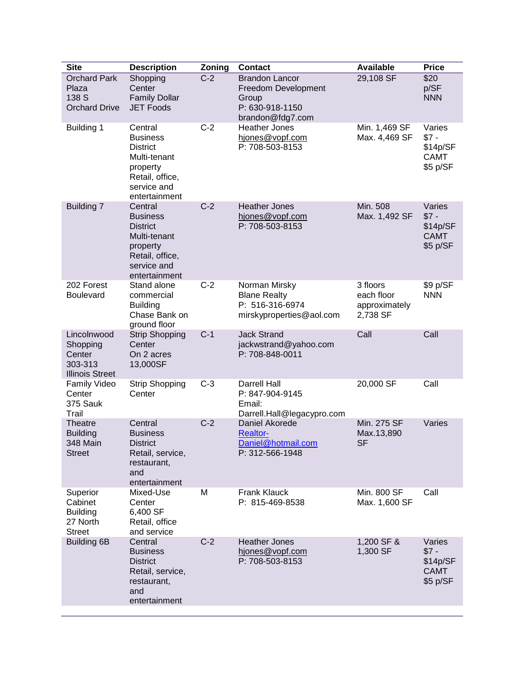| <b>Site</b>                                                            | <b>Description</b>                                                                                                           | Zoning | <b>Contact</b>                                                                               | <b>Available</b>                                    | <b>Price</b>                                            |
|------------------------------------------------------------------------|------------------------------------------------------------------------------------------------------------------------------|--------|----------------------------------------------------------------------------------------------|-----------------------------------------------------|---------------------------------------------------------|
| <b>Orchard Park</b><br>Plaza<br>138 S<br><b>Orchard Drive</b>          | Shopping<br>Center<br><b>Family Dollar</b><br><b>JET Foods</b>                                                               | $C-2$  | <b>Brandon Lancor</b><br>Freedom Development<br>Group<br>P: 630-918-1150<br>brandon@fdg7.com | 29,108 SF                                           | \$20<br>p/SF<br><b>NNN</b>                              |
| <b>Building 1</b>                                                      | Central<br><b>Business</b><br><b>District</b><br>Multi-tenant<br>property<br>Retail, office,<br>service and<br>entertainment | $C-2$  | <b>Heather Jones</b><br>hjones@vopf.com<br>P: 708-503-8153                                   | Min. 1,469 SF<br>Max. 4,469 SF                      | Varies<br>$$7 -$<br>\$14p/SF<br><b>CAMT</b><br>\$5 p/SF |
| Building 7                                                             | Central<br><b>Business</b><br><b>District</b><br>Multi-tenant<br>property<br>Retail, office,<br>service and<br>entertainment | $C-2$  | <b>Heather Jones</b><br>hjones@vopf.com<br>P: 708-503-8153                                   | Min. 508<br>Max. 1,492 SF                           | Varies<br>$$7 -$<br>\$14p/SF<br><b>CAMT</b><br>\$5 p/SF |
| 202 Forest<br><b>Boulevard</b>                                         | Stand alone<br>commercial<br><b>Building</b><br>Chase Bank on<br>ground floor                                                | $C-2$  | Norman Mirsky<br><b>Blane Realty</b><br>P: 516-316-6974<br>mirskyproperties@aol.com          | 3 floors<br>each floor<br>approximately<br>2,738 SF | \$9 p/SF<br><b>NNN</b>                                  |
| Lincolnwood<br>Shopping<br>Center<br>303-313<br><b>Illinois Street</b> | <b>Strip Shopping</b><br>Center<br>On 2 acres<br>13,000SF                                                                    | $C-1$  | <b>Jack Strand</b><br>jackwstrand@yahoo.com<br>P: 708-848-0011                               | Call                                                | Call                                                    |
| <b>Family Video</b><br>Center<br>375 Sauk<br>Trail                     | <b>Strip Shopping</b><br>Center                                                                                              | $C-3$  | <b>Darrell Hall</b><br>P: 847-904-9145<br>Email:<br>Darrell.Hall@legacypro.com               | 20,000 SF                                           | Call                                                    |
| <b>Theatre</b><br><b>Building</b><br>348 Main<br><b>Street</b>         | Central<br><b>Business</b><br><b>District</b><br>Retail, service,<br>restaurant,<br>and<br>entertainment                     | $C-2$  | Daniel Akorede<br><b>Realtor-</b><br>Daniel@hotmail.com<br>P: 312-566-1948                   | Min. 275 SF<br>Max.13,890<br><b>SF</b>              | Varies                                                  |
| Superior<br>Cabinet<br><b>Building</b><br>27 North<br><b>Street</b>    | Mixed-Use<br>Center<br>6,400 SF<br>Retail, office<br>and service                                                             | M      | <b>Frank Klauck</b><br>P: 815-469-8538                                                       | Min. 800 SF<br>Max. 1,600 SF                        | Call                                                    |
| <b>Building 6B</b>                                                     | Central<br><b>Business</b><br><b>District</b><br>Retail, service,<br>restaurant,<br>and<br>entertainment                     | $C-2$  | <b>Heather Jones</b><br>hjones@vopf.com<br>P: 708-503-8153                                   | 1,200 SF &<br>1,300 SF                              | Varies<br>$$7 -$<br>\$14p/SF<br><b>CAMT</b><br>\$5 p/SF |